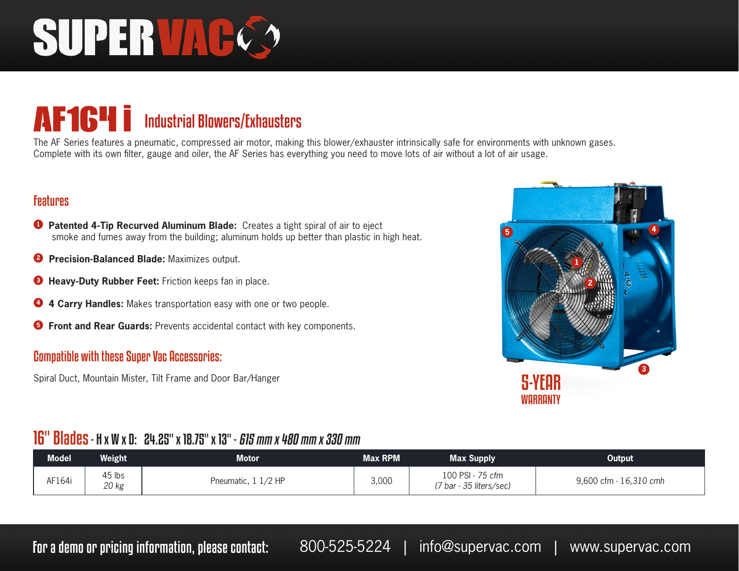# SUPER VAC

# **AF164 i** Industrial Blowers/Exhausters

The AF Series features a pneumatic, compressed air motor, making this blower/exhauster intrinsically safe for environments with unknown gases. Complete with its own filter, gauge and oiler, the AF Series has everything you need to move lots of air without a lot of air usage.

## Features

- **<sup>1</sup> Patented 4-Tip Recurved Aluminum Blade:** Creates a tight spiral of air to eject smoke and fumes away from the building; aluminum holds up better than plastic in high heat.
- **2 Precision-Balanced Blade:** Maximizes output.
- **<sup>3</sup> Heavy-Duty Rubber Feet:** Friction keeps fan in place.
- **<sup>4</sup> 4 Carry Handles:** Makes transportation easy with one or two people.
- **<sup>5</sup> Front and Rear Guards:** Prevents accidental contact with key components.

### Compatible with these Super Vac Accessories:

Spiral Duct, Mountain Mister, Tilt Frame and Door Bar/Hanger



# 16" Blades - H x W x D: 24.25" x 18.75" x 13" - 615 mm x 480 mm x 330 mm

| <b>Model</b> | Weight'         | Motor               | <b>Max RPM</b> | <b>Max Supply</b>                           | <b>Output</b>          |
|--------------|-----------------|---------------------|----------------|---------------------------------------------|------------------------|
| AF164i       | 45 lbs<br>20 kg | Pneumatic, 1 1/2 HP | 3,000          | 100 PSI - 75 cfm<br>(7 bar - 35 liters/sec) | 9,600 cfm - 16,310 cmh |